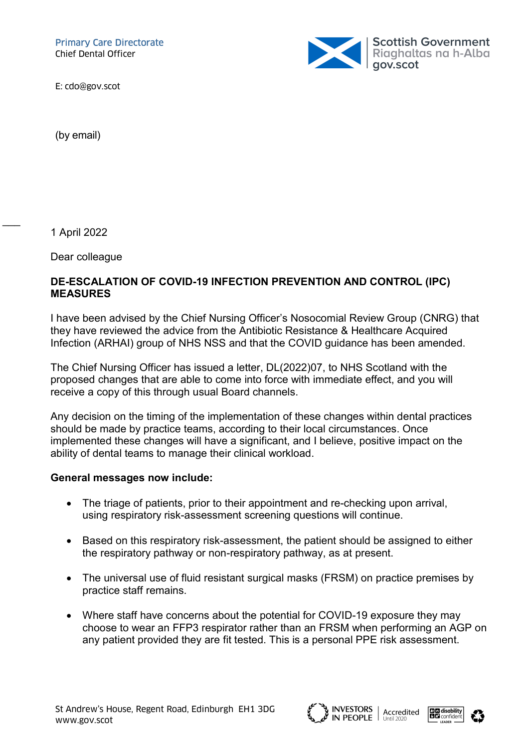Primary Care Directorate Chief Dental Officer



E: cdo@gov.scot

(by email)

1 April 2022

 $\overline{\phantom{a}}$ 

Dear colleague

## DE-ESCALATION OF COVID-19 INFECTION PREVENTION AND CONTROL (IPC) MEASURES

I have been advised by the Chief Nursing Officer's Nosocomial Review Group (CNRG) that they have reviewed the advice from the Antibiotic Resistance & Healthcare Acquired Infection (ARHAI) group of NHS NSS and that the COVID guidance has been amended.

The Chief Nursing Officer has issued a letter, DL(2022)07, to NHS Scotland with the proposed changes that are able to come into force with immediate effect, and you will receive a copy of this through usual Board channels.

Any decision on the timing of the implementation of these changes within dental practices should be made by practice teams, according to their local circumstances. Once implemented these changes will have a significant, and I believe, positive impact on the ability of dental teams to manage their clinical workload.

## General messages now include:

- The triage of patients, prior to their appointment and re-checking upon arrival, using respiratory risk-assessment screening questions will continue.
- Based on this respiratory risk-assessment, the patient should be assigned to either the respiratory pathway or non-respiratory pathway, as at present.
- The universal use of fluid resistant surgical masks (FRSM) on practice premises by practice staff remains.
- Where staff have concerns about the potential for COVID-19 exposure they may choose to wear an FFP3 respirator rather than an FRSM when performing an AGP on any patient provided they are fit tested. This is a personal PPE risk assessment.





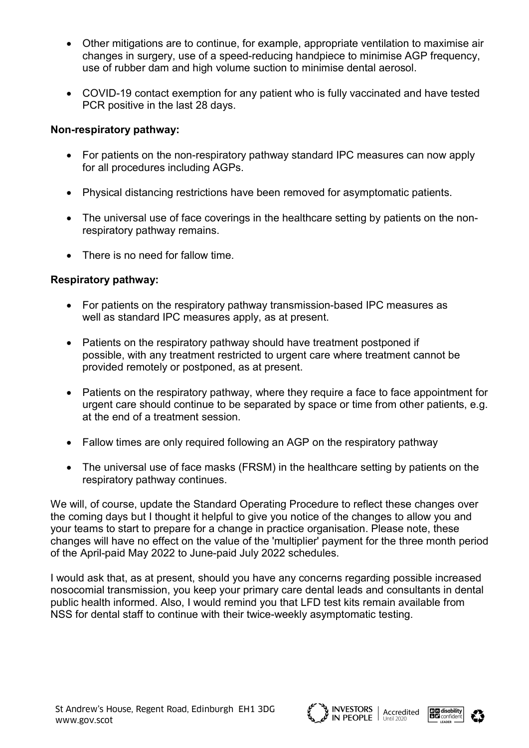- Other mitigations are to continue, for example, appropriate ventilation to maximise air changes in surgery, use of a speed-reducing handpiece to minimise AGP frequency, use of rubber dam and high volume suction to minimise dental aerosol.
- COVID-19 contact exemption for any patient who is fully vaccinated and have tested PCR positive in the last 28 days.

## Non-respiratory pathway:

- For patients on the non-respiratory pathway standard IPC measures can now apply for all procedures including AGPs.
- Physical distancing restrictions have been removed for asymptomatic patients.
- The universal use of face coverings in the healthcare setting by patients on the nonrespiratory pathway remains.
- There is no need for fallow time.

## Respiratory pathway:

- For patients on the respiratory pathway transmission-based IPC measures as well as standard IPC measures apply, as at present.
- Patients on the respiratory pathway should have treatment postponed if possible, with any treatment restricted to urgent care where treatment cannot be provided remotely or postponed, as at present.
- Patients on the respiratory pathway, where they require a face to face appointment for urgent care should continue to be separated by space or time from other patients, e.g. at the end of a treatment session.
- Fallow times are only required following an AGP on the respiratory pathway
- The universal use of face masks (FRSM) in the healthcare setting by patients on the respiratory pathway continues.

We will, of course, update the Standard Operating Procedure to reflect these changes over the coming days but I thought it helpful to give you notice of the changes to allow you and your teams to start to prepare for a change in practice organisation. Please note, these changes will have no effect on the value of the 'multiplier' payment for the three month period of the April-paid May 2022 to June-paid July 2022 schedules.

I would ask that, as at present, should you have any concerns regarding possible increased nosocomial transmission, you keep your primary care dental leads and consultants in dental public health informed. Also, I would remind you that LFD test kits remain available from NSS for dental staff to continue with their twice-weekly asymptomatic testing.